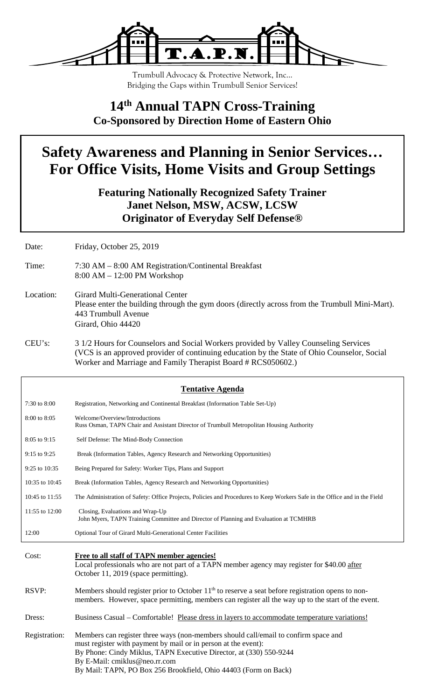

Trumbull Advocacy & Protective Network, Inc… Bridging the Gaps within Trumbull Senior Services!

### **14th Annual TAPN Cross-Training Co-Sponsored by Direction Home of Eastern Ohio**

# **Safety Awareness and Planning in Senior Services… For Office Visits, Home Visits and Group Settings**

**Featuring Nationally Recognized Safety Trainer Janet Nelson, MSW, ACSW, LCSW Originator of Everyday Self Defense®**

Date: Friday, October 25, 2019

- Time: 7:30 AM 8:00 AM Registration/Continental Breakfast 8:00 AM – 12:00 PM Workshop
- Location: Girard Multi-Generational Center Please enter the building through the gym doors (directly across from the Trumbull Mini-Mart). 443 Trumbull Avenue Girard, Ohio 44420
- CEU's: 3 1/2 Hours for Counselors and Social Workers provided by Valley Counseling Services (VCS is an approved provider of continuing education by the State of Ohio Counselor, Social Worker and Marriage and Family Therapist Board # RCS050602.)

| <b>Tentative Agenda</b> |                                                                                                                                                                                                                                                                                                                                 |  |
|-------------------------|---------------------------------------------------------------------------------------------------------------------------------------------------------------------------------------------------------------------------------------------------------------------------------------------------------------------------------|--|
| 7:30 to 8:00            | Registration, Networking and Continental Breakfast (Information Table Set-Up)                                                                                                                                                                                                                                                   |  |
| 8:00 to 8:05            | Welcome/Overview/Introductions<br>Russ Osman, TAPN Chair and Assistant Director of Trumbull Metropolitan Housing Authority                                                                                                                                                                                                      |  |
| 8:05 to 9:15            | Self Defense: The Mind-Body Connection                                                                                                                                                                                                                                                                                          |  |
| 9:15 to 9:25            | Break (Information Tables, Agency Research and Networking Opportunities)                                                                                                                                                                                                                                                        |  |
| 9:25 to 10:35           | Being Prepared for Safety: Worker Tips, Plans and Support                                                                                                                                                                                                                                                                       |  |
| 10:35 to 10:45          | Break (Information Tables, Agency Research and Networking Opportunities)                                                                                                                                                                                                                                                        |  |
| 10:45 to 11:55          | The Administration of Safety: Office Projects, Policies and Procedures to Keep Workers Safe in the Office and in the Field                                                                                                                                                                                                      |  |
| 11:55 to 12:00          | Closing, Evaluations and Wrap-Up<br>John Myers, TAPN Training Committee and Director of Planning and Evaluation at TCMHRB                                                                                                                                                                                                       |  |
| 12:00                   | Optional Tour of Girard Multi-Generational Center Facilities                                                                                                                                                                                                                                                                    |  |
| Cost:                   | <b>Free to all staff of TAPN member agencies!</b><br>Local professionals who are not part of a TAPN member agency may register for \$40.00 after<br>October 11, 2019 (space permitting).                                                                                                                                        |  |
| RSVP:                   | Members should register prior to October $11th$ to reserve a seat before registration opens to non-<br>members. However, space permitting, members can register all the way up to the start of the event.                                                                                                                       |  |
| Dress:                  | Business Casual – Comfortable! Please dress in layers to accommodate temperature variations!                                                                                                                                                                                                                                    |  |
| Registration:           | Members can register three ways (non-members should call/email to confirm space and<br>must register with payment by mail or in person at the event):<br>By Phone: Cindy Miklus, TAPN Executive Director, at (330) 550-9244<br>By E-Mail: cmiklus@neo.rr.com<br>By Mail: TAPN, PO Box 256 Brookfield, Ohio 44403 (Form on Back) |  |